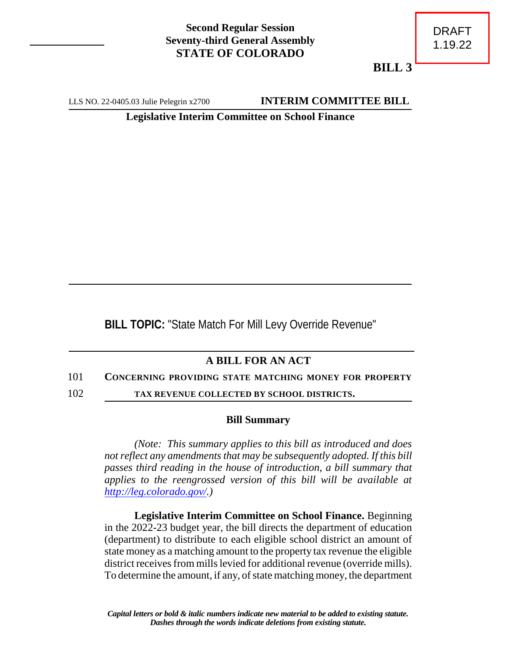## **Second Regular Session Seventy-third General Assembly STATE OF COLORADO**

**BILL 3**

LLS NO. 22-0405.03 Julie Pelegrin x2700 **INTERIM COMMITTEE BILL** 

**Legislative Interim Committee on School Finance**

**BILL TOPIC:** "State Match For Mill Levy Override Revenue"

## **A BILL FOR AN ACT**

## 101 **CONCERNING PROVIDING STATE MATCHING MONEY FOR PROPERTY**

102 **TAX REVENUE COLLECTED BY SCHOOL DISTRICTS.**

## **Bill Summary**

*(Note: This summary applies to this bill as introduced and does not reflect any amendments that may be subsequently adopted. If this bill passes third reading in the house of introduction, a bill summary that applies to the reengrossed version of this bill will be available at <http://leg.colorado.gov/>.)*

**Legislative Interim Committee on School Finance.** Beginning in the 2022-23 budget year, the bill directs the department of education (department) to distribute to each eligible school district an amount of state money as a matching amount to the property tax revenue the eligible district receives from mills levied for additional revenue (override mills). To determine the amount, if any, of state matching money, the department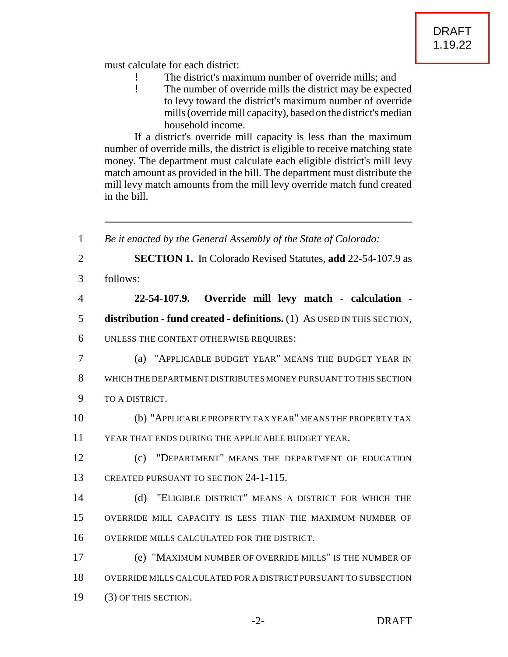must calculate for each district:

- ! The district's maximum number of override mills; and
- ! The number of override mills the district may be expected to levy toward the district's maximum number of override mills (override mill capacity), based on the district's median household income.

If a district's override mill capacity is less than the maximum number of override mills, the district is eligible to receive matching state money. The department must calculate each eligible district's mill levy match amount as provided in the bill. The department must distribute the mill levy match amounts from the mill levy override match fund created in the bill.

 *Be it enacted by the General Assembly of the State of Colorado:* **SECTION 1.** In Colorado Revised Statutes, **add** 22-54-107.9 as 3 follows: **22-54-107.9. Override mill levy match - calculation - distribution - fund created - definitions.** (1) AS USED IN THIS SECTION, UNLESS THE CONTEXT OTHERWISE REQUIRES: (a) "APPLICABLE BUDGET YEAR" MEANS THE BUDGET YEAR IN WHICH THE DEPARTMENT DISTRIBUTES MONEY PURSUANT TO THIS SECTION TO A DISTRICT. (b) "APPLICABLE PROPERTY TAX YEAR"MEANS THE PROPERTY TAX YEAR THAT ENDS DURING THE APPLICABLE BUDGET YEAR. (c) "DEPARTMENT" MEANS THE DEPARTMENT OF EDUCATION 13 CREATED PURSUANT TO SECTION 24-1-115. (d) "ELIGIBLE DISTRICT" MEANS A DISTRICT FOR WHICH THE OVERRIDE MILL CAPACITY IS LESS THAN THE MAXIMUM NUMBER OF OVERRIDE MILLS CALCULATED FOR THE DISTRICT. (e) "MAXIMUM NUMBER OF OVERRIDE MILLS" IS THE NUMBER OF OVERRIDE MILLS CALCULATED FOR A DISTRICT PURSUANT TO SUBSECTION (3) OF THIS SECTION.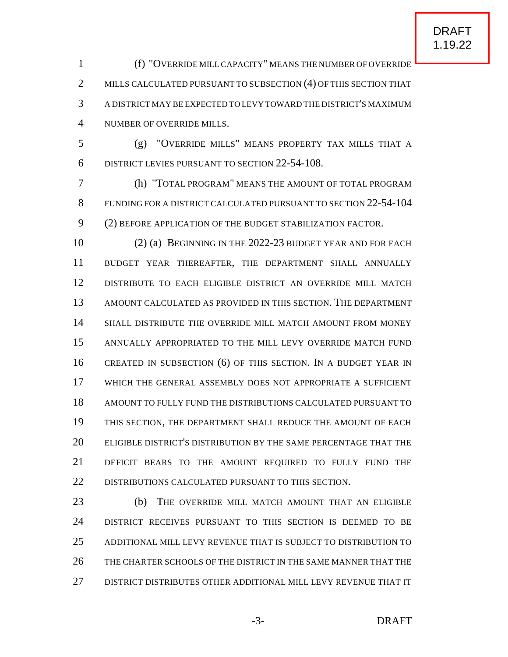(f) "OVERRIDE MILL CAPACITY" MEANS THE NUMBER OF OVERRIDE 2 MILLS CALCULATED PURSUANT TO SUBSECTION (4) OF THIS SECTION THAT A DISTRICT MAY BE EXPECTED TO LEVY TOWARD THE DISTRICT'S MAXIMUM NUMBER OF OVERRIDE MILLS.

 (g) "OVERRIDE MILLS" MEANS PROPERTY TAX MILLS THAT A DISTRICT LEVIES PURSUANT TO SECTION 22-54-108.

 (h) "TOTAL PROGRAM" MEANS THE AMOUNT OF TOTAL PROGRAM FUNDING FOR A DISTRICT CALCULATED PURSUANT TO SECTION 22-54-104 (2) BEFORE APPLICATION OF THE BUDGET STABILIZATION FACTOR.

 (2) (a) BEGINNING IN THE 2022-23 BUDGET YEAR AND FOR EACH BUDGET YEAR THEREAFTER, THE DEPARTMENT SHALL ANNUALLY DISTRIBUTE TO EACH ELIGIBLE DISTRICT AN OVERRIDE MILL MATCH AMOUNT CALCULATED AS PROVIDED IN THIS SECTION. THE DEPARTMENT SHALL DISTRIBUTE THE OVERRIDE MILL MATCH AMOUNT FROM MONEY ANNUALLY APPROPRIATED TO THE MILL LEVY OVERRIDE MATCH FUND CREATED IN SUBSECTION (6) OF THIS SECTION. IN A BUDGET YEAR IN WHICH THE GENERAL ASSEMBLY DOES NOT APPROPRIATE A SUFFICIENT AMOUNT TO FULLY FUND THE DISTRIBUTIONS CALCULATED PURSUANT TO THIS SECTION, THE DEPARTMENT SHALL REDUCE THE AMOUNT OF EACH ELIGIBLE DISTRICT'S DISTRIBUTION BY THE SAME PERCENTAGE THAT THE DEFICIT BEARS TO THE AMOUNT REQUIRED TO FULLY FUND THE 22 DISTRIBUTIONS CALCULATED PURSUANT TO THIS SECTION.

23 (b) THE OVERRIDE MILL MATCH AMOUNT THAT AN ELIGIBLE DISTRICT RECEIVES PURSUANT TO THIS SECTION IS DEEMED TO BE ADDITIONAL MILL LEVY REVENUE THAT IS SUBJECT TO DISTRIBUTION TO THE CHARTER SCHOOLS OF THE DISTRICT IN THE SAME MANNER THAT THE DISTRICT DISTRIBUTES OTHER ADDITIONAL MILL LEVY REVENUE THAT IT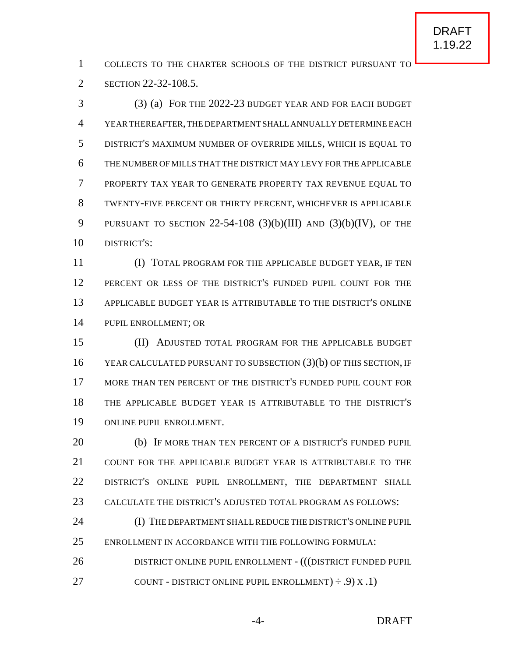COLLECTS TO THE CHARTER SCHOOLS OF THE DISTRICT PURSUANT TO 2 SECTION 22-32-108.5.

 (3) (a) FOR THE 2022-23 BUDGET YEAR AND FOR EACH BUDGET YEAR THEREAFTER,THE DEPARTMENT SHALL ANNUALLY DETERMINE EACH DISTRICT'S MAXIMUM NUMBER OF OVERRIDE MILLS, WHICH IS EQUAL TO THE NUMBER OF MILLS THAT THE DISTRICT MAY LEVY FOR THE APPLICABLE PROPERTY TAX YEAR TO GENERATE PROPERTY TAX REVENUE EQUAL TO TWENTY-FIVE PERCENT OR THIRTY PERCENT, WHICHEVER IS APPLICABLE 9 PURSUANT TO SECTION  $22-54-108$  (3)(b)(III) AND (3)(b)(IV), OF THE DISTRICT'S:

 (I) TOTAL PROGRAM FOR THE APPLICABLE BUDGET YEAR, IF TEN PERCENT OR LESS OF THE DISTRICT'S FUNDED PUPIL COUNT FOR THE APPLICABLE BUDGET YEAR IS ATTRIBUTABLE TO THE DISTRICT'S ONLINE PUPIL ENROLLMENT; OR

 (II) ADJUSTED TOTAL PROGRAM FOR THE APPLICABLE BUDGET YEAR CALCULATED PURSUANT TO SUBSECTION (3)(b) OF THIS SECTION, IF MORE THAN TEN PERCENT OF THE DISTRICT'S FUNDED PUPIL COUNT FOR THE APPLICABLE BUDGET YEAR IS ATTRIBUTABLE TO THE DISTRICT'S ONLINE PUPIL ENROLLMENT.

 (b) IF MORE THAN TEN PERCENT OF A DISTRICT'S FUNDED PUPIL COUNT FOR THE APPLICABLE BUDGET YEAR IS ATTRIBUTABLE TO THE DISTRICT'S ONLINE PUPIL ENROLLMENT, THE DEPARTMENT SHALL CALCULATE THE DISTRICT'S ADJUSTED TOTAL PROGRAM AS FOLLOWS:

 (I) THE DEPARTMENT SHALL REDUCE THE DISTRICT'S ONLINE PUPIL ENROLLMENT IN ACCORDANCE WITH THE FOLLOWING FORMULA: 26 DISTRICT ONLINE PUPIL ENROLLMENT - (((DISTRICT FUNDED PUPIL

27 COUNT - DISTRICT ONLINE PUPIL ENROLLMENT)  $\div$  .9) X .1)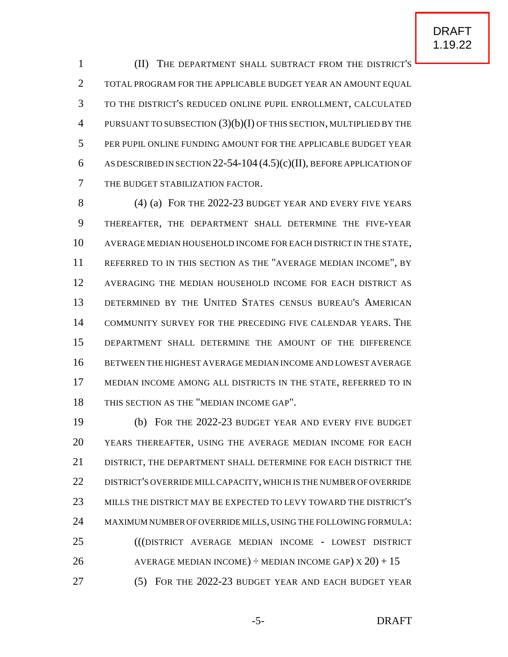(II) THE DEPARTMENT SHALL SUBTRACT FROM THE DISTRICT'S TOTAL PROGRAM FOR THE APPLICABLE BUDGET YEAR AN AMOUNT EQUAL TO THE DISTRICT'S REDUCED ONLINE PUPIL ENROLLMENT, CALCULATED PURSUANT TO SUBSECTION (3)(b)(I) OF THIS SECTION, MULTIPLIED BY THE PER PUPIL ONLINE FUNDING AMOUNT FOR THE APPLICABLE BUDGET YEAR 6 AS DESCRIBED IN SECTION 22-54-104  $(4.5)(c)(II)$ , BEFORE APPLICATION OF THE BUDGET STABILIZATION FACTOR.

 (4) (a) FOR THE 2022-23 BUDGET YEAR AND EVERY FIVE YEARS THEREAFTER, THE DEPARTMENT SHALL DETERMINE THE FIVE-YEAR AVERAGE MEDIAN HOUSEHOLD INCOME FOR EACH DISTRICT IN THE STATE, REFERRED TO IN THIS SECTION AS THE "AVERAGE MEDIAN INCOME", BY AVERAGING THE MEDIAN HOUSEHOLD INCOME FOR EACH DISTRICT AS DETERMINED BY THE UNITED STATES CENSUS BUREAU'S AMERICAN COMMUNITY SURVEY FOR THE PRECEDING FIVE CALENDAR YEARS. THE DEPARTMENT SHALL DETERMINE THE AMOUNT OF THE DIFFERENCE BETWEEN THE HIGHEST AVERAGE MEDIAN INCOME AND LOWEST AVERAGE MEDIAN INCOME AMONG ALL DISTRICTS IN THE STATE, REFERRED TO IN THIS SECTION AS THE "MEDIAN INCOME GAP".

 (b) FOR THE 2022-23 BUDGET YEAR AND EVERY FIVE BUDGET YEARS THEREAFTER, USING THE AVERAGE MEDIAN INCOME FOR EACH DISTRICT, THE DEPARTMENT SHALL DETERMINE FOR EACH DISTRICT THE 22 DISTRICT'S OVERRIDE MILL CAPACITY, WHICH IS THE NUMBER OF OVERRIDE MILLS THE DISTRICT MAY BE EXPECTED TO LEVY TOWARD THE DISTRICT'S MAXIMUM NUMBER OF OVERRIDE MILLS, USING THE FOLLOWING FORMULA: (((DISTRICT AVERAGE MEDIAN INCOME - LOWEST DISTRICT 26 AVERAGE MEDIAN INCOME)  $\div$  MEDIAN INCOME GAP)  $\times$  20) + 15 (5) FOR THE 2022-23 BUDGET YEAR AND EACH BUDGET YEAR